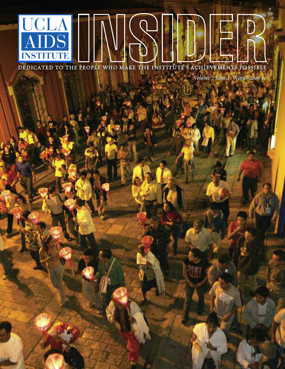

DEDICATED TO THE PEOPLE WHO MAKE THE INSTITUTE'S ACHIEVEMENTS POSSIBLE

*Volume 7, Issue 1 Winter 2009–10*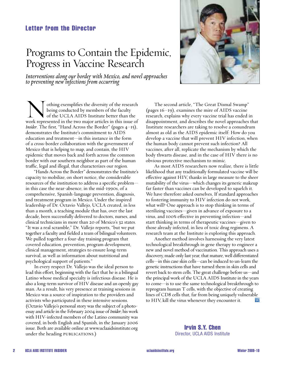#### **Letter from the Director**

#### Programs to Contain the Epidemic, Progress in Vaccine Research

*Interventions along our border with Mexico, and novel approaches to preventing new infections from occurring*



"Hands Across the Border" demonstrates the Institute's capacity to mobilize, on short notice, the considerable resources of the institution to address a specific problem in this case the near-absence, in the mid-1990s, of a comprehensive, Spanish-language prevention, diagnosis, and treatment program in Mexico. Under the inspired leadership of Dr. Octavio Vallejo, UCLA created, in less than a month, a teaching module that has, over the last decade, been successfully delivered to doctors, nurses, and clinical technicians in more than 20 of Mexico's 32 states. "It was a real scramble," Dr. Vallejo reports, "but we put together a faculty and fielded a team of bilingual volunteers. We pulled together a four-day training program that covered education, prevention, program development, clinical management, strategies to ensure long-term survival, as well as information about nutritional and psychological support of patients."

In every respect Dr. Vallejo was the ideal person to lead this effort, beginning with the fact that he is a bilingual Latino whose medical specialty is infectious disease. He is also a long-term survivor of HIV disease and an openly gay man. As a result, his very presence at training sessions in Mexico was a source of inspiration to the providers and activists who participated in these intensive sessions. (Octavio Vallejo's personal story was the subject of a photoessay and article in the February 2004 issue of*Insider*; his work with HIV-infected members of the Latino community was covered, in both English and Spanish, in the January 2006 issue. Both are available online at www.uclaaidsinstitute.org under the heading publications.)



The second article, "The Great Dismal Swamp" (pages 16–19), examines the mire of AIDS vaccine research, explains why every vaccine trial has ended in disappointment, and describes the novel approaches that Institute researchers are taking to resolve a conundrum almost as old as the AIDS epidemic itself: How do you develop a vaccine that will prevent HIV infection, when the human body cannot prevent such infection? All vaccines, after all, replicate the mechanism by which the body thwarts disease, and in the case of HIV there is no obvious protective mechanism to mimic.

As most AIDS researchers now realize, there is little likelihood that any traditionally formulated vaccine will be effective against HIV, thanks in large measure to the sheer mutability of the virus—which changes its generic makeup far faster than vaccines can be developed to squelch it. We have therefore asked ourselves, If standard approaches to fostering immunity to HIV infection do not work, what will? One approach is to stop thinking in terms of sterilizing vaccines—given in advance of exposure to a virus, and 100% effective in preventing infection—and start thinking in terms of therapeutic vaccines—given to those already infected, in lieu of toxic drug regimens. A research team at the Institute is exploring this approach.

Another method involves harnessing the very latest technological breakthrough in gene therapy to engineer a new and novel method of vaccination. This approach uses a discovery, made only last year, that mature, well differentiated cells—in this case skin cells—can be induced to un-learn the genetic instructions that have turned them in skin cells and revert back to stem cells. The great challenge before us—and the principal work of the UCLA AIDS Institute in the years to come—is to use the same technological breakthrough to reprogram human T cells, with the objective of creating lines of CD8 cells that, far from being uniquely vulnerable to HIV, kill the virus whenever they encounter it. **AIDS** 

**Irvin S.Y. Chen**

Director, UCLA AIDS Institute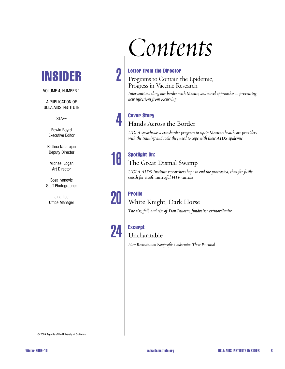## *Contents*

## **INSIDER**

VOLUME 4, NUMBER 1

A PUBLICATION OF UCLA AIDS INSTITUTE

**STAFF** 

Edwin Bayrd Executive Editor

Rathna Natarajan Deputy Director

Michael Logan Art Director

Boza Ivanovic Staff Photographer

Jina Lee Office Manager

#### **Letter from the Director**

Programs to Contain the Epidemic, Progress in Vaccine Research *Interventions along our border with Mexico, and novel approaches to preventing new infections from occurring*

#### **Cover Story**

 $\Omega$ 

4

16

20

24

#### Hands Across the Border

*UCLA spearheads a crossborder program to equip Mexican healthcare providers with the training and tools they need to cope with their AIDS epidemic*

#### **Spotlight On:**

#### The Great Dismal Swamp

*UCLA AIDS Institute researchers hope to end the protracted, thus-far futile search for a safe, successful HIV vaccine*

#### **Profile**

#### White Knight, Dark Horse

*The rise, fall, and rise of Dan Pallotta, fundraiser extraordinaire*

#### **Excerpt**

#### Uncharitable

*How Restraintson Nonprofits Undermine Their Potential*

© 2009 Regents of the University of California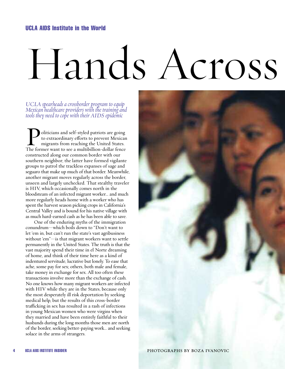## Hands Across

UCLA *spearheads a crossborder program to equip Mexican healthcareproviders with the trainingand tools they needtocope with their AIDS epidemic*

**Politicians and self-styled patriots are going**<br>to extraordinary efforts to prevent Mexica<br>migrants from reaching the United States. to extraordinary efforts to prevent Mexican to extraordinary efforts to prevent Mexican<br>migrants from reaching the United States. The former want to see a multibillion-dollar fence constructed along our common border with our southern neighbor; the latter have formed vigilante groups to patrol the trackless expanses of sage and seguaro that make up much of that border. Meanwhile, another migrant moves regularly across the border, unseen and largely unchecked. That stealthy traveler is HIV, which occasionally comes north in the bloodsteam of an infected migrant worker… and much more regularly heads home with a worker who has spent the harvest season picking crops in California's Central Valley and is bound for his native village with as much hard-earned cash as he has been able to save.

One of the enduring myths of the immigration conundrum—which boils down to "Don't want to let 'em in, but can't run the state's vast agribusiness without 'em"—is that migrant workers want to settle permanently in the United States. The truth is that the vast majority spend their time in el Norte dreaming of home, and think of their time here as a kind of indentured servitude, lucrative but lonely. To ease that ache, some pay for sex; others, both male and female, take money in exchange for sex. All too often these transactions involve more than the exchange of cash. No one knows how many migrant workers are infected with HIV while they are in the States, because only the most desperately ill risk deportation by seeking medical help, but the results of this cross-border trafficking in sex has resulted in a rash of infections in young Mexican women who were virgins when they married and have been entirely faithful to their husbands during the long months those men are north of the border, seeking better-paying work… and seeking solace in the arms of strangers.

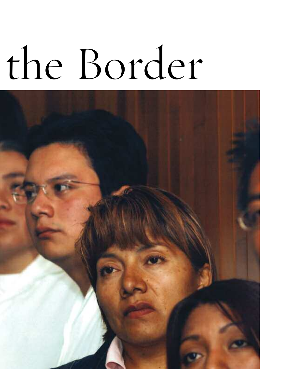# the Border

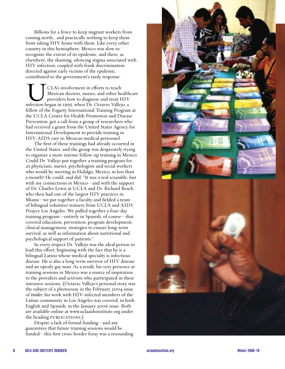Billions for a fence to keep migrant workers from coming north... and practically nothing to keep them from taking HIV home with them. Like every other country in this hemisphere. Mexico was slow to recognize the extent of its epidemic, and there, as  $e$ lsewhere, the shaming, silencing stigma associated with HIV infection, coupled with frank discrimination directed against early victims of the epidemic.

contributed to the government's tardy response.<br>
CLA's involvement in efforts to teach<br>
Mexican doctors, nurses, and other h<br>
providers how to diagnose and treat l CLA's involvement in efforts to teach Mexican doctors, nurses, and other healthcare providers how to diagnose and treat HIV infection began in 1995, when Dr. Octavio Vallejo, a fellow of the Fogarty International Training Program at the UCLA Center for Health Promotion and Disease Prevention, got a call from a group of researchers who had received a grant from the United States Agency for International Development to provide training in HIV/AIDS care to Mexican medical personnel.

The first of these trainings had already occurred in the United States, and the group was desperately trying to organize a more intense follow-up training in Mexico. Could Dr. Vallejo put together a training program for 25 physicians, nurses, psychologists and social workers who would be meeting in Hidalgo. Mexico. in less than a month? He could. and did. "It was a real scramble. but with my connections in Mexico—and with the support of Dr. Charles Lewis at UCLA and Dr. Richard Beach. who then had one of the largest  $\rm{HIV}$  practices in Miami—we put together a faculty and fielded a team of bilingual volunteer trainers from UCLA and AIDS Project Los Angeles. We pulled together a four-day  $\frac{1}{2}$  training program—entirely in Spanish. of course—that covered education, prevention, program development, clinical management, strategies to ensure long-term survival. as well as information about nutritional and psychological support of patients."

In every respect Dr. Vallejo was the ideal person to  $l$ ead this effort. <code>beginning</code> with the fact that he is a bilingual Latino whose medical specialty is infectious disease. He is also a long-term survivor of HIV disease and an openly gay man. As a result, his very presence at training sessions in Mexico was a source of inspiration to the providers and activists who participated in these intensive sessions. (Octavio Valleio's personal story was the subject of a photoessay in the February 2004 issue of *Insider*: his work with HIV-infected members of the Latino community in Los Angeles was covered, in both English and Spanish, in the January 2006 issue, Both are available online at www.uclaaidsinstitute.org under the heading PUBLICATIONS.)

Despite a lack of formal funding-and any guarantees that future training sessions would be tunded—this first cross-border forav was a resounding

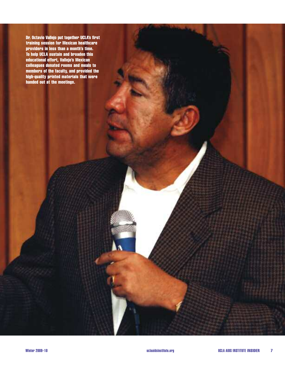**Dr. Octavio Vallejo put together UCLA's first training session for Mexican healthcare providers in less than a month's time. To help UCLA sustain and broaden this educational effort, Vallejo's Mexican colleagues donated rooms and meals to members of the faculty, and provided the high-quality printed materials that were handed out at the meetings.**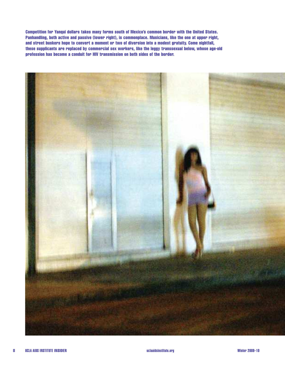**Competition for Yanqui dollars takes many forms south of Mexico's common border with the United States. Panhandling, both active and passive (lower right), is commonplace. Musicians, like the one at upper right,** and street buskers hope to convert a moment or two of diversion into a modest gratuity. Come nightfall, **these supplicants are replaced by commercial sex workers, like the leggy transsexual below, whose age-old profession has become a conduit for HIV transmission on both sides of the border.**

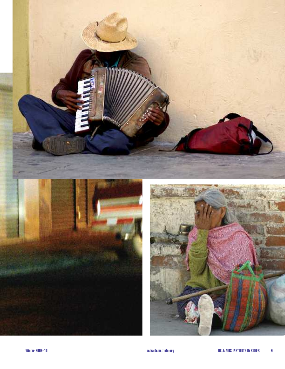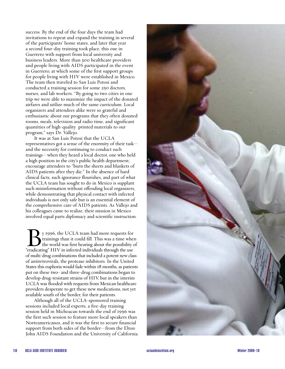success. By the end of the four days the team had invitations to repeat and expand the training in several of the participants' home states, and later that vear a second four-day training took place, this one in Guerrero with support from local university and business leaders. More than 300 healthcare providers and people living with  $\triangle\text{IDS}$  participated in the event in Guerrero, at which some of the first support groups for people living with  ${\rm HIV}$  were established in Mexico. The team then traveled to San Luis Potosí and conducted a training session for some 250 doctors. nurses, and lab workers. "By going to two cities in one trip we were able to maximize the impact of the donated airfares and utilize much of the same curriculum. Local organizers and attendees alike were so grateful and enthusiastic about our programs that they often donated rooms, meals, television and radio time, and significant quantities of high-quality printed materials to our program." says Dr. Vallejo.

It was at San Luis Potosí that the UCLA representatives got a sense of the enormity of their task and the necessity for continuing to conduct such trainings—when they heard a local doctor, one who held a high position in the city's public health department. encourage attendees to "burn the sheets and blankets of AIDS patients after they die." In the absence of hard clinical facts, such ignorance flourishes, and part of what the UCLA team has sought to do in Mexico is supplant such misinformation without offending local organizers. while demonstrating that physical contact with infected individuals is not only safe but is an essential element of the comprehensive care of AIDS patients. As Vallejo and his colleagues came to realize, their mission in Mexico involved equal parts diplomacy and scientific instruction.

B v 1996, the UCLA team had more requests for  $\overline{\phantom{a}}$  trainings than it could fill. This was a time when the world was first hearing about the possibility of eradicating" HIV in infected individuals through the use of multi-drug combinations that included a potent new class of antiretrovirals, the protease inhibitors. In the United States this euphoria would fade within 18 months, as patients put on these two- and three-drug combinations began to .<br>develop drug-resistant strains of HIV but in the interim UCLA was flooded with requests from Mexican healthcare providers desperate to get these new medications, not vet available south of the border, for their patients.

Although all of the UCLA-sponsored training sessions included local experts, a five-dav training session held in Michoacan towards the end of 1996 was the first such session to feature more local speakers than Norteamericanos, and it was the first to secure financial support from both sides of the border—from the Elton John AIDS Foundation and the University of California

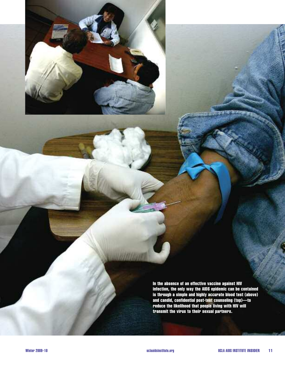**In the absence of an effective vaccine against HIV infection, the only way the AIDS epidemic can be contained is through a simple and highly accurate blood test (above) and candid, confidential post-test counseling (top)—to reduce the likelihood that people living with HIV will transmit the virus to their sexual partners.**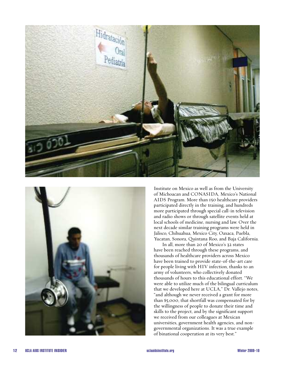



Institute on Mexico as well as from the University of Michoacan and CONASIDA. Mexico's National AIDS Program. More than 150 healthcare providers participated directly in the training, and hundreds nore participated through special call-in television and radio shows or through satellite events held at local schools of medicine. nursing and law. Over the next decade similar training programs were held in Jalisco, Chihuahua, Mexico City, Oaxaca, Puebla, .<br>Yucatan, Sonora, Ouintana Roo, and Baia California.

In all, more than 20 of Mexico's 32 states have been reached through these programs, and thousands of healthcare providers across Mexico have been trained to provide state-of-the-art care for people living with  ${\rm HIV}$  infection, thanks to an army of volunteers, who collectively donated thousands of hours to this educational effort. "We were able to utilize much of the bilingual curriculum that we developed here at UCLA." Dr. Valleio notes. " and although we never received a grant for more than \$5,000, that shortfall was compensated for by the willingness of people to donate their time and skills to the project, and by the significant support we received from our colleagues at Mexican universities. government health agencies. and nongovernmental organizations. It was a true example of binational cooperation at its verv best."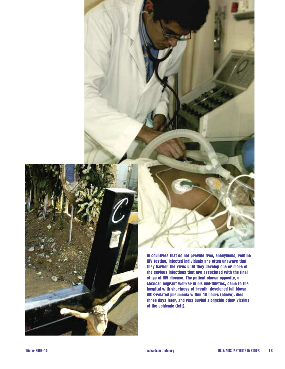

**In countries that do not provide free, anonymous, routine HIV testing, infected individuals are often unaware that they harbor the virus until they develop one or more of the serious infections that are associated with the final stage of HIV disease. The patient shown opposite, a Mexican migrant worker in his mid-thirties, came to the hospital with shortness of breath, developed full-blown AIDS-related pneumonia within 48 hours (above), died three days later, and was buried alongside other victims of the epidemic (left).**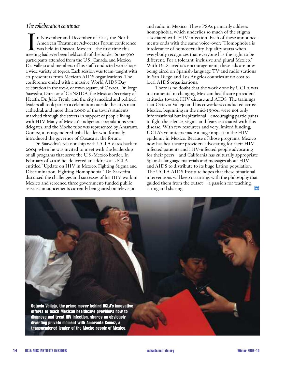#### *The collaboration continues*

n November and December of 2005 the North American Treatment Advocates Forum conference was held in Oaxaca, Mexico—the first time this meeting had ever been held south of the border. Some 500 participants attended from the U.S., Canada, and Mexico. Dr. Vallejo and members of his staff conducted workshops a wide variety of topics. Each session was team-taught with co-presenters from Mexican AIDS organizations. The conference ended with a massive World AIDS Day celebration in the *zocalo*, or town square, of Oaxaca. Dr. Jorge Saavedra, Director of CENSIDA, the Mexican Secretary of Health, Dr. Julio Frenk, and the city's medical and political leaders all took part in a celebration outside the city's main cathedral, and more than 1,000 of the town's students marched through the streets in support of people living with HIV. Many of Mexico's indigenous populations sent delegates, and the Moche tribe was represented by Amaranta Gomez, a transgendered tribal leader who formally introduced the governor of Oaxaca at the forum.

Dr. Saavedra's relationship with UCLA dates back to 2004, when he was invited to meet with the leadership of all programs that serve the U.S./Mexico border. In February of 2006 he delivered an address at UCLA entitled "Update on HIV in Mexico: Fighting Stigma and Discrimination, Fighting Homophobia." Dr. Saavedra discussed the challenges and successes of his HIV work in Mexico and screened three government-funded public service announcements currently being aired on television

and radio in Mexico. These PSAs primarily address homophobia, which underlies so much of the stigma associated with HIV infection. Each of these announcements ends with the same voice-over: "Homophobia is intolerance of homosexuality. Equality starts when everybody recognizes that everyone has the right to be different. For a tolerant, inclusive and plural Mexico." With Dr. Saavedra's encouragement, these ads are now being aired on Spanish-language TV and radio stations in San Diego and Los Angeles counties at no cost to local AIDS organizations.

There is no doubt that the work done by UCLA was instrumental in changing Mexican healthcare providers' attitudes toward HIV disease and AIDS. The trainings that Octavia Vallejo and his coworkers conducted across Mexico, beginning in the mid-1990s, were not only informational but inspirational—encouraging participants to fight the silence, stigma and fears associated with this disease. With few resources and very limited funding, UCLA's volunteers made a huge impact in the HIV epidemic in Mexico. Because of those programs, Mexico now has healthcare providers advocating for their HIVinfected patients and HIV-infected people advocating for their peers—and California has culturally appropriate Spanish-language materials and messages about HIV and AIDS to distribute to its huge Latino population. The UCLA AIDS Institute hopes that these binational interventions will keep occurring, with the philosophy that guided them from the outset— a passion for teaching, **Light** caring and sharing.

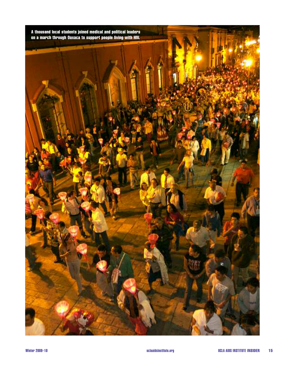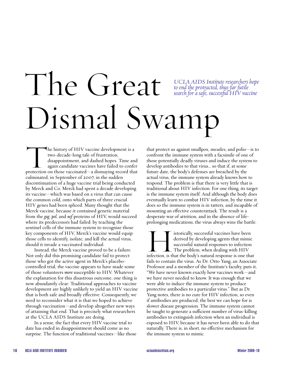### The Great Dismal Swamp *UCLA AIDS Institute researchers hope to endthe protracted, thus-far futile search forasafe, successful HIV vaccine*

The history of HIV vaccine development is <sup>a</sup> two-decade-long tale of frustration, disappointment, and dashed hopes. Time and again candidate vaccines have failed to confer protection on those vaccinated—a dismaying record that culminated, in September of 2007, in the sudden discontinuation of a huge vaccine trial being conducted by Merck and Co. Merck had spent a decade developing its vaccine—which was based on a virus that can cause the common cold, onto which parts of three crucial HIV genes had been spliced. Many thought that the Merck vaccine, because it contained genetic material from the *gag*, *pol*, and *nef* proteins of HIV, would succeed where its predecessors had failed: by teaching the sentinel cells of the immune system to recognize those key components of HIV, Merck's vaccine would equip those cells to identify, isolate, and kill the actual virus, should it invade a vaccinated individual.

Instead, the Merck vaccine proved to be a failure. Not only did this promising candidate fail to protect those who got the active agent in Merck's placebocontrolled trial, the vaccine appears to have made some of those volunteers *more* susceptible to HIV. Whatever the explanation for this disastrous outcome, one thing is now abundantly clear: Traditional approaches to vaccine development are highly unlikely to yield an HIV vaccine that is both safe and broadly effective. Consequently, we need to reconsider what it is that we hoped to achieve through vaccination—and develop altogether new ways of attaining that end. That is precisely what researchers at the UCLA AIDS Institute are doing.

In a sense, the fact that every HIV vaccine trial to date has ended in disappointment should come as no surprise. The function of traditional vaccines—like those that protect us against smallpox, measles, and polio—is to confront the immune system with a facsimile of one of those potentially deadly viruses and induce the system to develop antibodies to that virus… so that if, at some future date, the body's defenses are breached by the actual virus, the immune system already knows how to respond. The problem is that there is very little that is traditional about HIV infection. For one thing, its target is the immune system itself. And although the body does eventually learn to combat HIV infection, by the time it does so the immune system is in tatters, and incapable of mounting an effective counterattack. The result is a desperate war of attrition, and in the absence of life-

prolonging medications, the virus always wins the battle.<br>  $\begin{array}{r}\n\bullet \text{ isotorically, successful vaccines have been derived by developing agents that mimic successful natural responses to infection.}\n\end{array}$ The problem, when dealing with HIV derived by developing agents that mimic successful natural responses to infection. The problem, when dealing with HIV infection, is that the body's natural response is one that fails to contain the virus. As Dr. Otto Yang, an Associate Professor and a member of the Institute's faculty, puts it, "We have never known exactly how vaccines work—and we have never needed to know. It was enough that we were able to induce the immune system to produce protective antibodies to a particular virus." But as Dr. Yang notes, there is no cure for HIV infection, so even if antibodies are produced, the best we can hope for is slower disease progression. The immune system cannot be taught to generate a sufficient number of virus-killing antibodies to extinguish infection when an individual is exposed to HIV, because it has never been able to do that naturally. There is, in short, no effective mechanism for the immune system to mimic.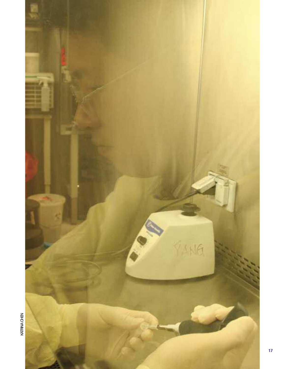

KATRIVA CHEN KATRINA CHEN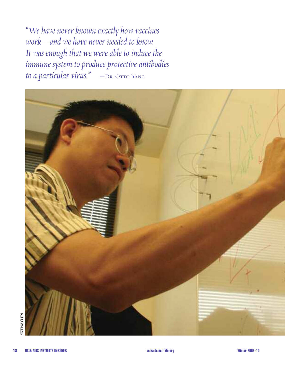*"We have never known exactly how vaccines work—and we have never needed to know. It was enough that we were able to induce the immune* system to produce protective antibodies  $to a$  particular virus." – DR. OTTO YANG

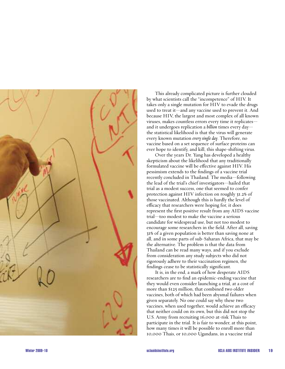

This already complicated picture is further clouded by what scientists call the "incompetence" of HIV. It takes only a single mutation for  $\rm HIV$  to evade the drugs used to treat it—and any vaccine used to prevent it. And because HIV, the largest and most complex of all known viruses. makes countless errors every time it replicates and it undergoes replication a *billion* times every dav the statistical likelihood is that the virus will generate every known mutation every single day. Therefore, no vaccine based on a set sequence of surface proteins can ever hope to identify, and kill, this shape-shifting virus.

Over the vears Dr. Yang has developed a healthy skepticism about the likelihood that any traditionally formulated vaccine will be effective against HIV. His  $p$  essimism extends to the findings of a vaccine trial .<br>recently concluded in Thailand. The media—following the lead of the trial's chief investigators—hailed that trial as a modest success, one that seemed to confer protection against HIV infection on roughly 31.2% of those vaccinated. Although this is hardly the level of efficacy that researchers were hoping for, it does represent the first positive result from any AIDS vaccine trial—too modest to make the vaccine a serious candidate for widespread use, but not too modest to encourage some researchers in the field. After all. saving 31% of a given population is better than saving none at all, and in some parts of sub-Saharan Africa, that may be the alternative. The problem is that the data from Thailand can be read many ways, and if you exclude from consideration any study subiects who did not rigorously adhere to their vaccination regimen. the findings cease to be statistically significant.

It is, in the end, a mark of how desperate AIDS researchers are to find an epidemic-ending vaccine that they would even consider launching a trial, at a cost of more than \$125 million, that combined two older vaccines, both of which had been abysmal failures when given separately. No one could say why these two  $\frac{1}{2}$  vaccines. when used together, would achieve an efficacy that neither could on its own, but this did not stop the U.S. Army from recruiting 16,000 at-risk Thais to participate in the trial. It is fair to wonder, at this point. .<br>how many times it will be possible to enroll more than 10.000 Thais, or 10.000 Ugandans, in a vaccine trial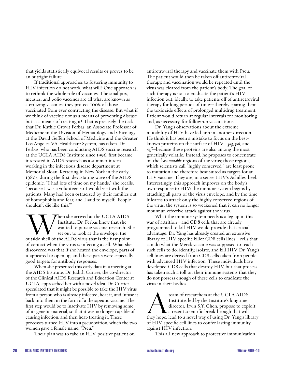that yields statistically equivocal results or proves to be an outright failure.

If traditional approaches to fostering immunity to HIV infection do not work, what will? One approach is to rethink the whole role of vaccines. The smallpox, measles, and polio vaccines are all what are known as sterilizing vaccines: they protect 100% of those vaccinated from ever contracting the disease. But what if we think of vaccine not as a means of preventing disease but as a means of treating it? That is precisely the tack that Dr. Kathie Grovit Ferbas, an Associate Professor of Medicine in the Division of Hematology and Oncology at the David Geffen School of Medicine and the Greater Los Angeles VA Healthcare System, has taken. Dr. Ferbas, who has been conducting AIDS vaccine research at the UCLA AIDS Institute since 1996, first became interested in AIDS research as a summer intern working in the infectious disease department at Memorial Sloan-Kettering in New York in the early 1980s, during the first, devastating wave of the AIDS epidemic. "I had lots of time on my hands," she recalls, "because I was a volunteer, so I would visit with the patients. Many had been ostracized by their families out of homophobia and fear, and I said to myself, 'People shouldn't die like this.'"

shouldn't die like this."<br>
Then she arrived at the UCLA AIDS<br>
Institute, Dr. Ferbas knew that she<br>
wanted to pursue vaccine research. S<br>
set out to look at the envelope, the Institute, Dr. Ferbas knew that she wanted to pursue vaccine research. She set out to look at the envelope, the outside shell of the AIDS virus that is the first point of contact when the virus is infecting a cell. What she discovered was that if she heated the envelope, parts of it appeared to open up, and these parts were especially good targets for antibody responses.

When she presented this early data in a meeting at the AIDS Institute, Dr. Judith Currier, the co-director of the Clinical AIDS Research and Education Center at UCLA, approached her with a novel idea. Dr. Currier speculated that it might be possible to take the HIV virus from a person who is already infected, heat it, and infuse it back into them in the form of a therapeutic vaccine. The first step would be to inactivate HIV by removing some of its genetic material, so that it was no longer capable of causing infection, and then heat-treating it. These processes turned HIV into a pseudovirion, which the two women gave a female name: "Pseu."

Their plan was to take an HIV-positive patient on

antiretroviral therapy and vaccinate them with Pseu. The patient would then be taken off antiretroviral therapy, and vaccination would be repeated until the virus was cleared from the patient's body. The goal of such therapy is not to eradicate the patient's HIV infection but, ideally, to take patients off of antiretroviral therapy for long periods of time—thereby sparing them the toxic side effects of prolonged multidrug treatment. Patient would return at regular intervals for monitoring and, as necessary, for follow-up vaccinations.

Dr. Yang's observations about the extreme mutability of HIV have led him in another direction. He think it has been a mistake to focus on the bestknown proteins on the surface of HIV—*gag*, *pol*, and *nef*—because these proteins are also among the most genetically volatile. Instead, he proposes to concentrate on the *least mutable* regions of the virus; those regions, which scientists call "highly conserved," are least prone to mutation and therefore best suited as targets for an HIV vaccine. They are, in a sense, HIV's Achilles' heel. Interestingly, this approach improves on the body's own response to HIV: the immune system begins by attacking all parts of the virus envelope, and by the time it learns to attack only the highly conserved regions of the virus, the system is so weakened that it can no longer mount an effective attack against the virus.

What the immune system needs is a leg up in this war of attrition—and CD8 cells that are already programmed to kill HIV would provide that crucial advantage. Dr. Yang has already created an extensive library of HIV-specific killer CD8 cells lines—cells that can do what the Merck vaccine was supposed to teach such cells to do: identify, isolate, and kill HIV. Dr. Yang's cell lines are derived from CD8 cells taken from people with advanced HIV infection. These individuals have developed CD8 cells that destroy HIV, but that process has taken such a toll on their immune systems that they do not possess enough of these cells to eradicate the virus in their bodies.

virus in their bodies.<br>
team of researchers at the UCLA AIDS<br>
Institute, led by the Institute's longtime<br>
director, Irvin S.Y. Chen, propose to exp<br>
a recent scientific breakthrough that will Institute, led by the Institute's longtime director, Irvin S.Y. Chen, propose to exploit a recent scientific breakthrough that will, they hope, lead to a novel way of using Dr. Yang's library of HIV-specific cell lines to confer lasting immunity against HIV infection.

This all-new approach to protective immunization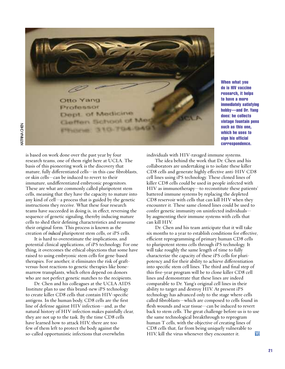

**When what you do is HIV vaccine research, it helps to have a more immediately satisfying hobby—and Dr. Yang does: he collects vintage fountain pens such as this one, which he uses to sign his official**

is based on work done over the past year by four research teams, one of them right here at UCLA. The basis of this pioneering work is the discovery that mature, fully differentiated cells—in this case fibroblasts, or skin cells—can be induced to revert to their immature, undifferentiated embryonic progenitors. These are what are commonly called pluripotent stem cells, meaning that they have the capacity to mature into any kind of cell—a process that is guided by the genetic instructions they receive. What these four research teams have succeeded in doing is, in effect, reversing the sequence of genetic signaling, thereby inducing mature cells to shed their defining characteristics and reassume their original form. This process is known as the creation of *induced* pluripotent stem cells, or iPS cells.

It is hard to overestimate the implications, and potential clinical applications, of iPS technology. For one thing, it overcomes the ethical objections that some have raised to using embryonic stem cells for gene-based therapies. For another, it eliminates the risk of graftversus-host reactions to genetic therapies like bonemarrow transplants, which often depend on donors who are not perfect genetic matches to the recipients.

Dr. Chen and his colleagues at the UCLA AIDS Institute plan to use this brand-new iPS technology to create killer CD8 cells that contain HIV-specific antigens. In the human body, CD8 cells are the first line of defense against HIV infection—and, as the natural history of HIV infection makes painfully clear, they are not up to the task. By the time CD8 cells have learned how to attack HIV, there are too few of them left to protect the body against the so-called opportunistic infections that overwhelm

individuals with HIV-ravaged immune systems.

The idea behind the work that Dr. Chen and his collaborators are undertaking is to isolate these killer CD8 cells and generate highly effective anti-HIV CD8 cell lines using iPS technology. These cloned lines of killer CD8 cells could be used in people infected with HIV as immunotherapy—to reconstitute these patients' battered immune systems by replacing the depleted CD8 reservoir with cells that can kill HIV when they encounter it. These same cloned lines could be used to confer genetic immunity on uninfected individuals by augmenting their immune systems with cells that can kill HIV.

Dr. Chen and his team anticipate that it will take six months to a year to establish conditions for effective, efficient reprogramming of primary human CD8 cells to pluripotent stems cells through iPS technology. It will take roughly the same length of time to fully characterize the capacity of these iPS cells for pluripotency and for their ability to achieve differentiation into specific stem cell lines. The third and final step of this five-year program will be to clone killer CD8 cell lines and demonstrate that these lines are indeed comparable to Dr. Yang's original cell lines in their ability to target and destroy HIV. At present iPS technology has advanced only to the stage where cells called fibroblasts—which are composed to cells found in flesh wounds and scar tissue—can be induced to revert back to stem cells. The great challenge before us is to use the same technological breakthrough to reprogram human T cells, with the objective of creating lines of CD8 cells that, far from being uniquely vulnerable to HIV, kill the virus whenever they encounter it. **AIDS**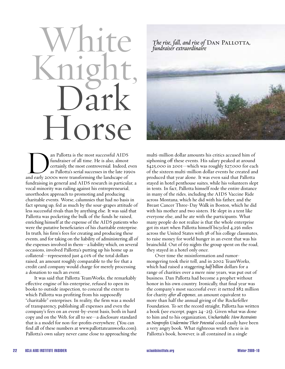## White Knight, Dark Horse

an Pallotta is the most successful AIDS<br>fundraiser of all time. He is also, almost<br>certainly, the most controversial. Indeed,<br>as Pallotta's serial successes in the late 19 fundraiser of all time. He is also, almost certainly, the most controversial. Indeed, even as Pallotta's serial successes in the late 1990s and early 2000s were transforming the landscape of fundraising in general and AIDS research in particular, a vocal minority was railing against his entrepreneurial, unorthodox approach to promoting and producing charitable events. Worse, calumnies that had no basis in fact sprung up, fed as much by the sour-grapes attitude of less successful rivals than by anything else. It was said that Pallotta was pocketing the bulk of the funds he raised, enriching himself at the expense of the AIDS patients who were the putative beneficiaries of his charitable enterprise. In truth, his firm's fees for creating and producing these events, and for taking on the liability of administering all of the expenses involved in them—a liability which, on several occasions, involved Pallotta's putting up his home up as collateral—represented just 4.01% of the total dollars raised, an amount roughly comparable to the fee that a credit card company would charge for merely processing a donation to such an event.

It was said that Pallotta TeamWorks, the remarkably effective engine of his enterprise, refused to open its books to outside inspection, to conceal the extent to which Pallotta was profiting from his supposedly "charitable" enterprises. In reality, the firm was a model of transparency, publishing all expenses and even the company's fees on an event-by-event basis, both in hard copy and on the Web, for all to see—a disclosure standard that is a model for non-for-profits everywhere. (You can find all of these numbers at www.pallottateamworks.com). Pallotta's own salary never came close to approaching the *The rise, fall, and rise of* Dan Pallotta*, fundraiser extraordinaire*



multi-million dollar amounts his critics accused him of siphoning off these events. His salary peaked at around \$425,000 in 2001—which was roughly \$27,000 for each of the sixteen multi-million dollar events he created and produced that year alone. It was even said that Pallotta stayed in hotel penthouse suites, while his volunteers slept in tents. In fact, Pallotta himself rode the entire distance in many of the rides, including the AIDS Vaccine Ride across Montana, which he did with his father, and the Breast Cancer Three-Day Walk in Boston, which he did with his mother and two sisters. He slept in a tent like everyone else, and he ate with the participants. What many people do not realize is that the whole enterprise got its start when Pallotta himself bicycled 4,256 miles across the United States with 38 of his college classmates, to raise money for world hunger in an event that was his brainchild. Out of 69 nights the group spent on the road, they stayed in a hotel only once.

Over time the misinformation and rumormongering took their toll, and in 2002 TeamWorks, which had raised a staggering *half billion* dollars for a range of charities over a mere nine years, was put out of business. Dan Pallotta had become a prophet without honor in his own country. Ironically, that final year was the company's most successful ever: it netted \$82 million for charity *after all expenses*, an amount equivalent to more than half the annual giving of the Rockefeller Foundation. To set the record straight, Pallotta has written a book (see excerpt, pages 24–25). Given what was done to him and to his organization, *Uncharitable: How Restraints on Nonprofits Undermine Their Potential* could easily have been a very angry book. What righteous wrath there is in Pallotta's book, however, is all contained in a single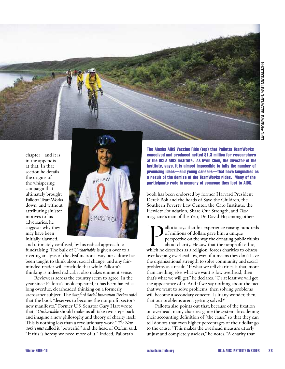chapter—and it is in the appendix at that. In that section he details the origins of the whispering campaign that ultimately brought Pallotta TeamWorks down, and without attributing sinister motives to his adversaries, he suggests why they may have been initially alarmed,



and ultimately confused, by his radical approach to fundraising. The bulk of *Uncharitable* is given over to a riveting analysis of the dysfunctional way our culture has been taught to think about social change, and any fairminded reader will conclude that while Pallotta's thinking is indeed radical, it also makes eminent sense.

Reviewers across the country seem to agree. In the year since Pallotta's book appeared, it has been hailed as long overdue, clearheaded thinking on a formerly sacrosanct subject. The *Stanford Social Innovation Review* said that the book "deserves to become the nonprofit sector's new manifesto." Former U.S. Senator Gary Hart wrote that, "*Uncharitable* should make us all take two steps back and imagine a new philosophy and theory of charity itself. This is nothing less than a revolutionary work." *The New York Times* called it "powerful," and the head of Oxfam said, "If this is heresy, we need more of it." Indeed, Pallotta's

**The Alaska AIDS Vaccine Ride (top) that Pallotta TeamWorks conceived and produced netted \$1.3 million for researchers at the UCLA AIDS Institute. As Irvin Chen, the director of the Institute, says, it is almost impossible to tally the number of promising ideas—and young careers—that have languished as a result of the demise of the TeamWorks rides. Many of the participants rode in memory of someone they lost to AIDS.**

book has been endorsed by former Harvard President Derek Bok and the heads of Save the Children, the Southern Poverty Law Center, the Cato Institute, the Hewlett Foundation, Share Our Strength, and *Time* magazine's man of the Year, Dr. David Ho, among others.

allotta says that his experience raising hundreds of millions of dollars gave him a unique perspective on the way the donating public thinks about charity. He saw that the nonprofit ethic, which he describes as a religion, forces charities to obsess over keeping overhead low, even if it means they don't have the organizational strength to solve community and social problems as a result. "If what we tell charities is that, more than anything else, what we want is low overhead, then that's what we will get," he declares. "Or at least we will get the appearance of it. And if we say nothing about the fact that we want to solve problems, then solving problems will become a secondary concern. Is it any wonder, then, that our problems aren't getting solved?"

Pallotta also points out that, because of the fixation on overhead, many charities game the system, broadening their accounting definition of "the cause" so that they can tell donors that even higher percentages of their dollar go to the cause. "This makes the overhead measure utterly unjust and completely useless," he notes. "A charity that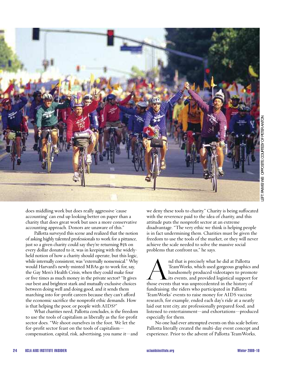

does middling work but does really aggressive 'cause accounting' can end up looking better on paper than a charity that does great work but uses a more conservative accounting approach. Donors are unaware of this."

Pallotta surveyed this scene and realized that the notion of asking highly talented professionals to work for a pittance, just so a given charity could say they're returning 85% on every dollar donated to it, was in keeping with the widelyheld notion of how a charity should operate, but this logic, while internally consistent, was "externally nonsensical." Why would Harvard's newly-minted MBAs go to work for, say, the Gay Men's Health Crisis, when they could make four or five times as much money in the private sector? "It gives our best and brightest stark and mutually exclusive choices between doing well and doing good, and it sends them marching into for-profit careers because they can't afford the economic sacrifice the nonprofit ethic demands. How is that helping the poor, or people with AIDS?"

What charities need, Pallotta concludes, is the freedom to use the tools of capitalism as liberally as the for-profit sector does. "We shoot ourselves in the foot. We let the for-profit sector feast on the tools of capitalism compensation, capital, risk, advertising, you name it—and we deny these tools to charity." Charity is being suffocated with the reverence paid to the idea of charity, and this attitude puts the nonprofit sector at an extreme disadvantage. "The very ethic we think is helping people is in fact undermining them. Charities must be given the freedom to use the tools of the market, or they will never achieve the scale needed to solve the massive social problems that confront us," he says.

nd that is precisely what he did at Pallotta TeamWorks, which used gorgeous graphics and handsomely produced videotapes to promote its events, and provided logistical support for those events that was unprecedented in the history of fundraising: the riders who participated in Pallotta TeamWorks' events to raise money for AIDS vaccine research, for example, ended each day's ride at a neatly laid out tent city, ate professionally prepared food, and listened to entertainment—and exhortations—produced especially for them.

No one had ever attempted events on this scale before. Pallotta literally created the multi-day event concept and experience. Prior to the advent of Pallotta TeamWorks,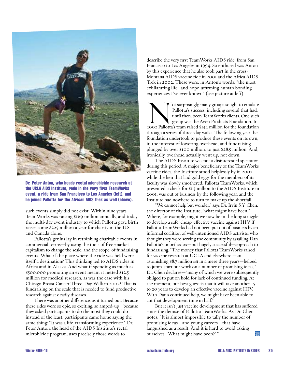

**Dr. Peter Anton, who heads rectal microbicide research at the UCLA AIDS Institute, rode in the very first TeamWorks event, a ride from San Francisco to Los Angeles (left), and he joined Pallotta for the African AIDS Trek as well (above).**

such events simply did not exist. Within nine years TeamWorks was raising \$169 million annually, and today the multi-day event industry to which Pallotta gave birth raises some \$225 million a year for charity in the U.S. and Canada alone.

Pallotta's genius lay in rethinking charitable events in commercial terms—by using the tools of free-market capitalism to change the scale, and the scope, of fundraising events. What if the place where the ride was held were itself a destination? This thinking led to AIDS rides in Africa and in Alaska. And what if spending as much as \$500,000 promoting an event meant it netted \$12.5 million for medical research, as was the case with his Chicago Breast Cancer Three-Day Walk in 2002? That is fundraising on the scale that is needed to fund productive research against deadly diseases.

There was another difference, as it turned out. Because these rides were so epic, so exciting, so amped-up—because they asked participants to do the most they could do instead of the least, participants came home saying the same thing: "It was a life-transforming experience." Dr. Peter Anton, the head of the AIDS Institute's rectal microbicide program, uses precisely those words to

describe the very first TeamWorks AIDS ride, from San Francisco to Los Angeles in 1994. So enthused was Anton by this experience that he also took part in the cross-Montana AIDS vaccine ride in 2001 and the Africa AIDS Trek in 2002. These were, in Anton's words, "the most exhilarating life- and hope-affirming human bonding experiences I've ever known" (see picture at left).

ot surprisingly, many groups sought to emulate Pallotta's success, including several that had, until then, been TeamWorks clients. One such group was the Avon Products Foundation. In 2002 Pallotta's team raised \$142 million for the foundation through a series of three-day walks. The following year the foundation undertook to produce these events on its own, in the interest of lowering overhead, and fundraising plunged by over \$100 million, to just \$28.5 million. And, ironically, overhead actually went up, not down.

The AIDS Institute was not a disinterested spectator during this period. A major beneficiary of the TeamWorks vaccine rides, the Institute stood helplessly by in 2002 while the hen that laid gold eggs for the members of its faculty was slowly smothered. Pallotta TeamWorks, which presented a check for \$1.3 million to the AIDS Institute in 2001, was out of business by the following year, and the Institute had nowhere to turn to make up the shortfall.

"We cannot help but wonder," says Dr. Irvin S.Y. Chen, the director of the Institute, "what might have been." Where, for example, might we now be in the long struggle to develop a safe, cheap, effective vaccine against HIV if Pallotta TeamWorks had not been put out of business by an informal coalition of well-intentioned AIDS activists, who thought they were serving the community by assailing Dan Pallotta's unorthodox—but hugely successful—approach to fundraising. "The money that Pallotta TeamWorks raised for vaccine research at UCLA and elsewhere —an astonishing \$8.7 million *net* in a mere three years—helped to jump-start our work on a number of promising ideas," Dr. Chen declares—"many of which we were subsequently obliged to put on hold for lack of continued funding. At the moment, our best guess is that it will take another 15 to 20 years to develop an effective vaccine against HIV. With Dan's continued help, we might have been able to cut that development time in half."

But it isn't just vaccine development that has suffered since the demise of Pallotta TeamWorks. As Dr. Chen notes, "It is almost impossible to tally the number of promising ideas—and young careers—that have languished as a result. And it is hard to avoid asking ourselves, 'What might have been?' " **AIDS**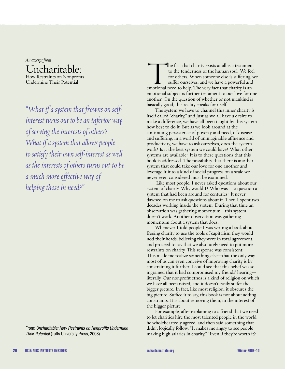*An excerpt from* Uncharitable: How Restraints on Nonprofits Undermine Their Potential

*"What ifasystem that frowns on selfinterest turnsout tobean inferior way of serving the interestsofothers? What if a system that allows people tosatisfytheirown self-interestas well as the interestsofothers turnsout to be a much more effective way of helping those in need?"*

From: Uncharitable: How Restraints on Nonprofits Undermine Their Potential (Tufts University Press, 2008).

The fact that charity exists at all is <sup>a</sup> testament to the tenderness of the human soul. We feel for others. When someone else is suffering, we suffer ourselves, and we have a powerful and emotional need to help. The very fact that charity is an emotional subject is further testament to our love for one another. On the question of whether or not mankind is basically good, this reality speaks for itself.

The system we have to channel this inner charity is itself called "charity," and just as we all have a desire to make a difference, we have all been taught by this system how best to do it. But as we look around at the continuing persistence of poverty and need, of disease and suffering, in a world of unimaginable affluence and productivity, we have to ask ourselves, does the system work? Is it the best system we could have? What other systems are available? It is to these questions that this book is addressed. The possibility that there is another system that could take our love for one another and leverage it into a kind of social progress on a scale we never even considered must be examined.

Like most people, I never asked questions about our system of charity. Why would I? Who was I to question a system that had been around for centuries? It never dawned on me to ask questions about it. Then I spent two decades working inside the system. During that time an observation was gathering momentum—this system doesn't work. Another observation was gathering momentum about a system that does…

Whenever I told people I was writing a book about freeing charity to use the tools of capitalism they would nod their heads, believing they were in total agreement, and proceed to say that we absolutely need to put more restraints on charity. This response was consistent. This made me realize something else—that the only way most of us can even conceive of improving charity is by constraining it further. I could see that this belief was so ingrained that it had compromised my friends' hearing literally. Our nonprofit ethos is a kind of religion on which we have all been raised, and it doesn't easily suffer the bigger picture. In fact, like most religion, it obscures the big picture. Suffice it to say, this book is not about adding constraints. It is about removing them, in the interest of the bigger picture.

For example, after explaining to a friend that we need to let charities hire the most talented people in the world, he wholeheartedly agreed, and then said something that didn't logically follow: "It makes me angry to see people making high salaries in charity." "Even if they're worth it?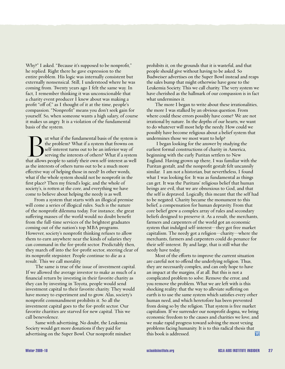Why?" I asked. "Because it's supposed to be nonprofit," he replied. Right there he gave expression to the entire problem. His logic was internally consistent but externally nonsensical. Still, I understood where he was coming from. Twenty years ago I felt the same way. In fact, I remember thinking it was unconscionable that a charity event producer I knew about was making a profit "off of," as I thought of it at the time, people's compassion. "Nonprofit" means you don't seek gain for yourself. So, when someone wants a high salary, of course it makes us angry. It is a violation of the fundamental basis of the system.

basis of the system.<br>
In the fundamental basis of the system is<br>
the problem? What if a system that frowns on<br>
self-interest turns out to be an inferior way of<br>
serving the interests of others? What if a system ut what if the fundamental basis of the system is<br>the problem? What if a system that frowns on self-interest turns out to be an inferior way of that allows people to satisfy their own self-interest as well as the interests of others turns out to be a much more effective way of helping those in need? In other words, what if the whole system should not be nonprofit in the first place? Then my friend's logic, and the whole of society's, is rotten at the core, and everything we have come to believe about helping the needy is as well.

From a system that starts with an illogical premise will come a series of illogical rules. Such is the nature of the nonprofit dilemma today. For instance, the great suffering masses of the world would no doubt benefit from the full-time services of the brightest graduates coming out of the nation's top MBA programs. However, society's nonprofit thinking refuses to allow them to earn anywhere near the kinds of salaries they can command in the for-profit sector. Predictably then, they march off into the for-profit sector, steering clear of its nonprofit stepsister. People continue to die as a result. This we call morality.

The same is true of the issue of investment capital. If we allowed the average investor to make as much of a financial return by investing in their favorite charity as they can by investing in Toyota, people would send investment capital to their favorite charity. They would have money to experiment and to grow. Alas, society's nonprofit commandment prohibits it. So all the investment capital goes to the for-profit sector. Our favorite charities are starved for new capital. This we call benevolence.

Same with advertising. No doubt, the Leukemia Society would get more donations if they paid for advertising on the Super Bowl. Our nonprofit mindset

prohibits it, on the grounds that it is wasteful, and that people should give without having to be asked. So Budweiser advertises on the Super Bowl instead and reaps the sales bump that might otherwise have gone to the Leukemia Society. This we call charity. The very system we have cherished as the hallmark of our compassion is in fact what undermines it.

The more I began to write about these irrationalities, the more I was stalked by an obvious question. From where could these errors possibly have come? We are not irrational by nature. In the depths of our hearts, we want to do whatever will most help the needy. How could we possibly have become religious about a belief system that undermines those we most want to help?

I began looking for the answer by studying the earliest formal constructions of charity in America, beginning with the early Puritan settlers to New England. Having grown up there, I was familiar with the Puritan gestalt, and the nonprofit gestalt felt uncannily similar. I am not a historian, but nevertheless, I found what I was looking for. It was as fundamental as things can get. It was the Puritans' religious belief that human beings are evil, that we are obnoxious to God, and that the self is depraved. Logically, this meant that the self had to be negated. Charity became the monument to this belief, a compensation for human depravity. From that core belief grew a complex array of rules and secondary beliefs designed to preserve it. As a result, the merchants, farmers and carpenters of the world got an economic system that indulged self-interest—they got free market capitalism. The needy got a religion—charity—where the merchants, farmers and carpenters could do penance for their self-interest. By and large, that is still what the needy have today.

Most of the efforts to improve the current situation are careful not to offend the underlying religion. Thus, they are necessarily complex, and can only hope to have an impact at the margins, if at all. But this is not a complicated problem to solve. Remove the error, and you remove the problem. What we are left with is this shocking reality: that the way to alleviate suffering on earth is to use the same system which satisfies every other human need, and which heretofore has been prevented from doing so by the religion. That system is free market capitalism. If we surrender our nonprofit dogma, we bring economic freedom to the causes and charities we love, and we make rapid progress toward solving the most vexing problems facing humanity. It is to this radical thesis that this book is addressed. **ADS**